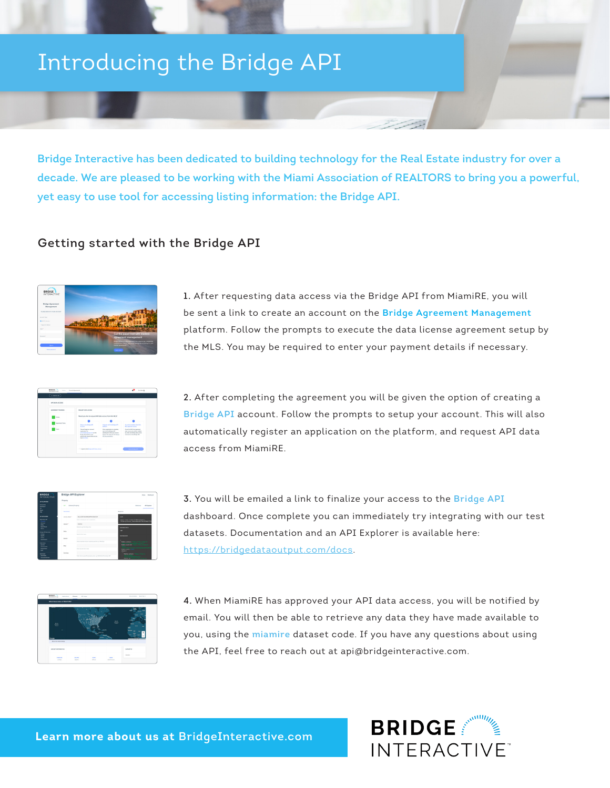# Introducing the Bridge API

**Bridge Interactive has been dedicated to building technology for the Real Estate industry for over a decade. We are pleased to be working with the Miami Association of REALTORS to bring you a powerful, yet easy to use tool for accessing listing information: the Bridge API.**

## **Getting started with the Bridge API**



**1.** After requesting data access via the Bridge API from MiamiRE, you will be sent a link to create an account on the **Bridge Agreement Management** platform. Follow the prompts to execute the data license agreement setup by the MLS. You may be required to enter your payment details if necessary.



**2.** After completing the agreement you will be given the option of creating a **Bridge API** account. Follow the prompts to setup your account. This will also automatically register an application on the platform, and request API data access from MiamiRE.

| <b>BRIDGE</b><br><b>INTERACTIVE</b>                            |                                   | <b>Bridge API Explorer</b>                                                    | <b>Show Federal</b>                                                                        |  |
|----------------------------------------------------------------|-----------------------------------|-------------------------------------------------------------------------------|--------------------------------------------------------------------------------------------|--|
| APPLATROOM                                                     | <b>Presenty</b>                   |                                                                               |                                                                                            |  |
| <b><i>STANDARD</i></b><br>tempor<br>$\sim$                     | art Abband Branch<br>Pennsylvania |                                                                               | <b><i><u>Substant</u></i></b><br>Africans                                                  |  |
| $\sim$<br>me.                                                  |                                   |                                                                               | Bostonia                                                                                   |  |
| AR ENDLOWED                                                    | arrest track?                     | <b>Building American Control of A</b>                                         | $\sim$                                                                                     |  |
| <b>HOTHAM</b>                                                  |                                   | have be started by your or westman.                                           | <b>Miller, Charles Golden, Administration Co.</b><br>ifraunufwood, samdweld (k) shield 171 |  |
| Monte<br><b>Call Card</b><br><b>German</b><br>since 1          | dataset"                          | <b>CARLO A</b>                                                                |                                                                                            |  |
|                                                                |                                   | Turned's net the better from                                                  | <b>REVOLUTIONS</b>                                                                         |  |
| <b>Brau attraction</b>                                         | tion.                             |                                                                               | ×                                                                                          |  |
| <b>Address</b><br>$\sim$<br>in a<br>---                        | <b>Business</b>                   | Date for first a looks.                                                       | <b>REPORT BOY</b>                                                                          |  |
| <b>Putts Colu</b><br><b>Service</b><br>Stop<br><b>home</b> red |                                   | fateur properties that are resolving specified e.g. OfficeFace                | Polaris, contant (<br><b>Polyta Health</b>                                                 |  |
| Annahma<br>$\sim$                                              |                                   | <b>Show and the first in more</b>                                             | <b>DOMESTICS</b><br><b>WORLD</b>                                                           |  |
| --                                                             | <b>Sunday</b>                     | flow their home-field engines with a a final signification of any time of at- | Robin certain)                                                                             |  |
| ---                                                            |                                   |                                                                               | <b><i><u>Property Links and Contractors</u></i></b>                                        |  |

**3.** You will be emailed a link to finalize your access to the **Bridge API**  dashboard. Once complete you can immediately try integrating with our test datasets. Documentation and an API Explorer is available here: https://bridgedataoutput.com/docs.



**4.** When MiamiRE has approved your API data access, you will be notified by email. You will then be able to retrieve any data they have made available to you, using the **miamire** dataset code. If you have any questions about using the API, feel free to reach out at api@bridgeinteractive.com.

**Learn more about us at BridgeInteractive.com**